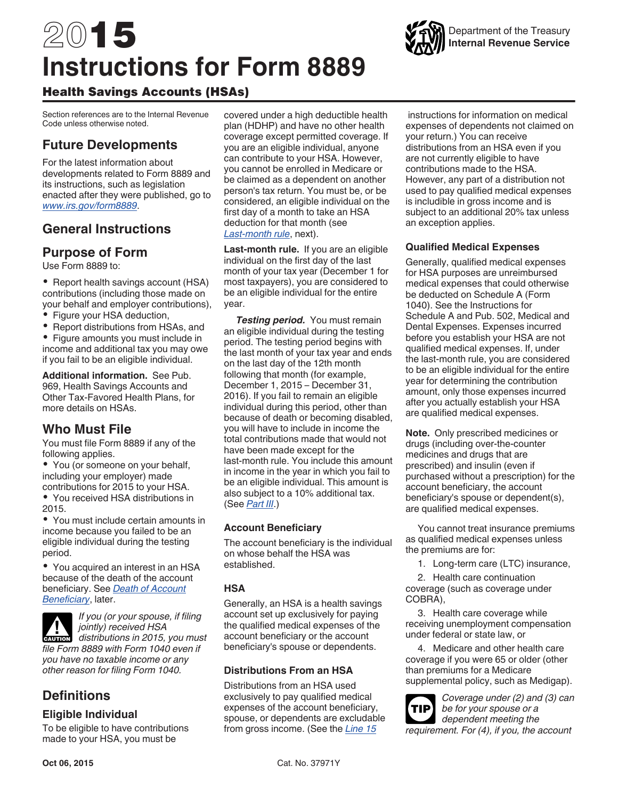# <span id="page-0-0"></span>2015 **Instructions for Form 8889**



# Health Savings Accounts (HSAs)

Section references are to the Internal Revenue Code unless otherwise noted.

# **Future Developments**

For the latest information about developments related to Form 8889 and its instructions, such as legislation enacted after they were published, go to *[www.irs.gov/form8889](http://www.irs.gov/form8889)*.

# **General Instructions**

### **Purpose of Form**

Use Form 8889 to:

• Report health savings account (HSA) contributions (including those made on your behalf and employer contributions),

Figure your HSA deduction,

Report distributions from HSAs, and  $\bullet$ Figure amounts you must include in

income and additional tax you may owe if you fail to be an eligible individual.

**Additional information.** See Pub. 969, Health Savings Accounts and Other Tax-Favored Health Plans, for more details on HSAs.

# **Who Must File**

You must file Form 8889 if any of the following applies.

You (or someone on your behalf, including your employer) made contributions for 2015 to your HSA.

You received HSA distributions in 2015.

You must include certain amounts in income because you failed to be an eligible individual during the testing period.

You acquired an interest in an HSA because of the death of the account beneficiary. See *[Death of Account](#page-1-0) [Beneficiary](#page-1-0)*, later.



*If you (or your spouse, if filing jointly) received HSA*  **c** *distributions in 2015, you must chautions in 2015, you must file Form 8889 with Form 1040 even if you have no taxable income or any* 

*other reason for filing Form 1040.*

# **Definitions**

#### **Eligible Individual**

To be eligible to have contributions made to your HSA, you must be

covered under a high deductible health plan (HDHP) and have no other health coverage except permitted coverage. If you are an eligible individual, anyone can contribute to your HSA. However, you cannot be enrolled in Medicare or be claimed as a dependent on another person's tax return. You must be, or be considered, an eligible individual on the first day of a month to take an HSA deduction for that month (see *Last-month rule*, next).

**Last-month rule.** If you are an eligible individual on the first day of the last month of your tax year (December 1 for most taxpayers), you are considered to be an eligible individual for the entire year.

**Testing period.** You must remain an eligible individual during the testing period. The testing period begins with the last month of your tax year and ends on the last day of the 12th month following that month (for example, December 1, 2015 – December 31, 2016). If you fail to remain an eligible individual during this period, other than because of death or becoming disabled, you will have to include in income the total contributions made that would not have been made except for the last-month rule. You include this amount in income in the year in which you fail to be an eligible individual. This amount is also subject to a 10% additional tax. (See *[Part III](#page-5-0)*.)

#### **Account Beneficiary**

The account beneficiary is the individual on whose behalf the HSA was established.

#### **HSA**

Generally, an HSA is a health savings account set up exclusively for paying the qualified medical expenses of the account beneficiary or the account beneficiary's spouse or dependents.

#### **Distributions From an HSA**

Distributions from an HSA used exclusively to pay qualified medical expenses of the account beneficiary, spouse, or dependents are excludable from gross income. (See the *[Line 15](#page-5-0)* 

 instructions for information on medical expenses of dependents not claimed on your return.) You can receive distributions from an HSA even if you are not currently eligible to have contributions made to the HSA. However, any part of a distribution not used to pay qualified medical expenses is includible in gross income and is subject to an additional 20% tax unless an exception applies.

#### **Qualified Medical Expenses**

Generally, qualified medical expenses for HSA purposes are unreimbursed medical expenses that could otherwise be deducted on Schedule A (Form 1040). See the Instructions for Schedule A and Pub. 502, Medical and Dental Expenses. Expenses incurred before you establish your HSA are not qualified medical expenses. If, under the last-month rule, you are considered to be an eligible individual for the entire year for determining the contribution amount, only those expenses incurred after you actually establish your HSA are qualified medical expenses.

**Note.** Only prescribed medicines or drugs (including over-the-counter medicines and drugs that are prescribed) and insulin (even if purchased without a prescription) for the account beneficiary, the account beneficiary's spouse or dependent(s), are qualified medical expenses.

You cannot treat insurance premiums as qualified medical expenses unless the premiums are for:

1. Long-term care (LTC) insurance,

2. Health care continuation coverage (such as coverage under COBRA),

3. Health care coverage while receiving unemployment compensation under federal or state law, or

4. Medicare and other health care coverage if you were 65 or older (other than premiums for a Medicare supplemental policy, such as Medigap).

*Coverage under (2) and (3) can be for your spouse or a dependent meeting the requirement. For (4), if you, the account*  **TIP**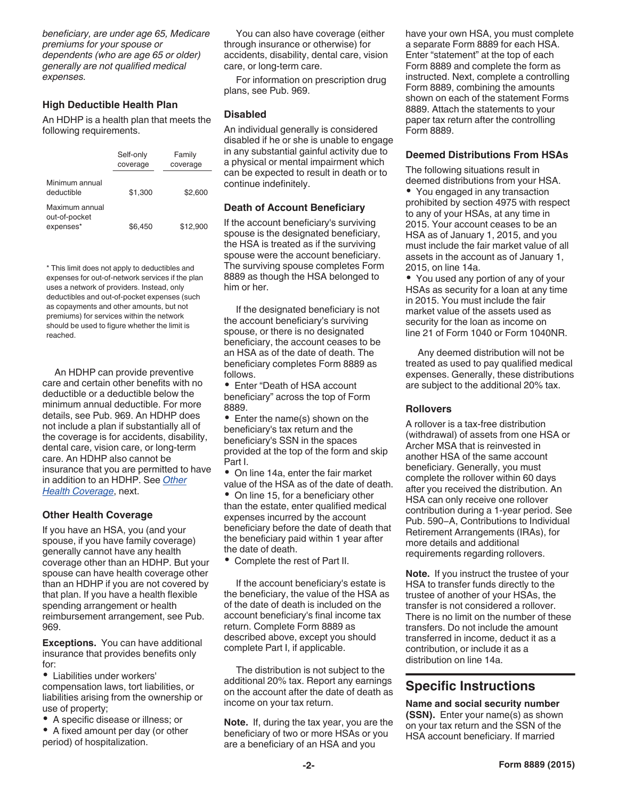<span id="page-1-0"></span>*beneficiary, are under age 65, Medicare premiums for your spouse or dependents (who are age 65 or older) generally are not qualified medical expenses.*

#### **High Deductible Health Plan**

An HDHP is a health plan that meets the following requirements.

|                                              | Self-only<br>coverage | Family<br>coverage |
|----------------------------------------------|-----------------------|--------------------|
| Minimum annual<br>deductible                 | \$1,300               | \$2,600            |
| Maximum annual<br>out-of-pocket<br>expenses* | \$6.450               | \$12,900           |

\* This limit does not apply to deductibles and expenses for out-of-network services if the plan uses a network of providers. Instead, only deductibles and out-of-pocket expenses (such as copayments and other amounts, but not premiums) for services within the network should be used to figure whether the limit is reached.

An HDHP can provide preventive care and certain other benefits with no deductible or a deductible below the minimum annual deductible. For more details, see Pub. 969. An HDHP does not include a plan if substantially all of the coverage is for accidents, disability, dental care, vision care, or long-term care. An HDHP also cannot be insurance that you are permitted to have in addition to an HDHP. See *Other Health Coverage*, next.

#### **Other Health Coverage**

If you have an HSA, you (and your spouse, if you have family coverage) generally cannot have any health coverage other than an HDHP. But your spouse can have health coverage other than an HDHP if you are not covered by that plan. If you have a health flexible spending arrangement or health reimbursement arrangement, see Pub. 969.

**Exceptions.** You can have additional insurance that provides benefits only for:

Liabilities under workers' compensation laws, tort liabilities, or liabilities arising from the ownership or use of property;

- A specific disease or illness; or
- A fixed amount per day (or other period) of hospitalization.

You can also have coverage (either through insurance or otherwise) for accidents, disability, dental care, vision care, or long-term care.

For information on prescription drug plans, see Pub. 969.

#### **Disabled**

An individual generally is considered disabled if he or she is unable to engage in any substantial gainful activity due to a physical or mental impairment which can be expected to result in death or to continue indefinitely.

#### **Death of Account Beneficiary**

If the account beneficiary's surviving spouse is the designated beneficiary, the HSA is treated as if the surviving spouse were the account beneficiary. The surviving spouse completes Form 8889 as though the HSA belonged to him or her.

If the designated beneficiary is not the account beneficiary's surviving spouse, or there is no designated beneficiary, the account ceases to be an HSA as of the date of death. The beneficiary completes Form 8889 as follows.

Enter "Death of HSA account beneficiary" across the top of Form 8889.

• Enter the name(s) shown on the beneficiary's tax return and the beneficiary's SSN in the spaces provided at the top of the form and skip Part I.

On line 14a, enter the fair market value of the HSA as of the date of death.

• On line 15, for a beneficiary other than the estate, enter qualified medical expenses incurred by the account beneficiary before the date of death that the beneficiary paid within 1 year after the date of death.

Complete the rest of Part II.

If the account beneficiary's estate is the beneficiary, the value of the HSA as of the date of death is included on the account beneficiary's final income tax return. Complete Form 8889 as described above, except you should complete Part I, if applicable.

The distribution is not subject to the additional 20% tax. Report any earnings on the account after the date of death as income on your tax return.

**Note.** If, during the tax year, you are the beneficiary of two or more HSAs or you are a beneficiary of an HSA and you

have your own HSA, you must complete a separate Form 8889 for each HSA. Enter "statement" at the top of each Form 8889 and complete the form as instructed. Next, complete a controlling Form 8889, combining the amounts shown on each of the statement Forms 8889. Attach the statements to your paper tax return after the controlling Form 8889.

#### **Deemed Distributions From HSAs**

The following situations result in deemed distributions from your HSA. • You engaged in any transaction prohibited by section 4975 with respect to any of your HSAs, at any time in 2015. Your account ceases to be an HSA as of January 1, 2015, and you must include the fair market value of all assets in the account as of January 1, 2015, on line 14a.

• You used any portion of any of your HSAs as security for a loan at any time in 2015. You must include the fair market value of the assets used as security for the loan as income on line 21 of Form 1040 or Form 1040NR.

Any deemed distribution will not be treated as used to pay qualified medical expenses. Generally, these distributions are subject to the additional 20% tax.

#### **Rollovers**

A rollover is a tax-free distribution (withdrawal) of assets from one HSA or Archer MSA that is reinvested in another HSA of the same account beneficiary. Generally, you must complete the rollover within 60 days after you received the distribution. An HSA can only receive one rollover contribution during a 1-year period. See Pub. 590−A, Contributions to Individual Retirement Arrangements (IRAs), for more details and additional requirements regarding rollovers.

**Note.** If you instruct the trustee of your HSA to transfer funds directly to the trustee of another of your HSAs, the transfer is not considered a rollover. There is no limit on the number of these transfers. Do not include the amount transferred in income, deduct it as a contribution, or include it as a distribution on line 14a.

# **Specific Instructions**

**Name and social security number (SSN).** Enter your name(s) as shown on your tax return and the SSN of the HSA account beneficiary. If married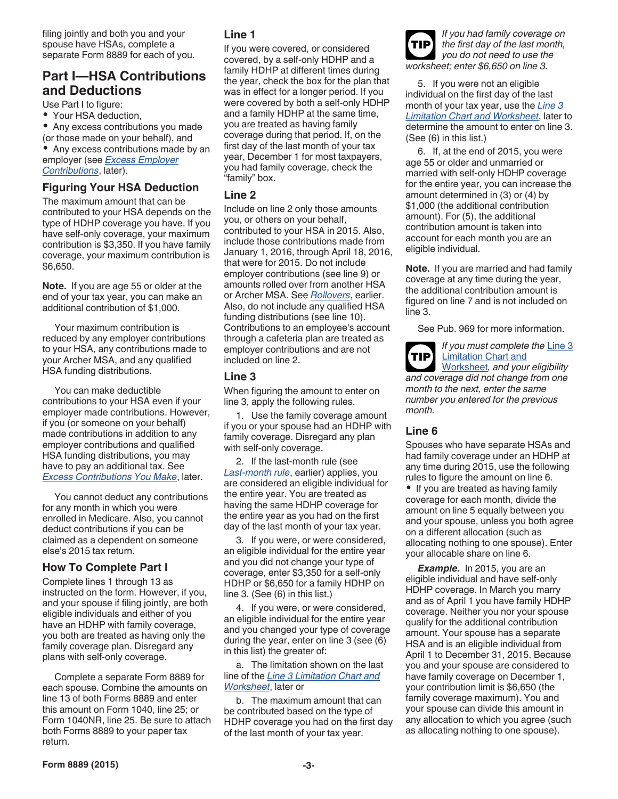filing jointly and both you and your spouse have HSAs, complete a separate Form 8889 for each of you.

# **Part I—HSA Contributions and Deductions**

Use Part I to figure:

Your HSA deduction,

Any excess contributions you made (or those made on your behalf), and

Any excess contributions made by an employer (see *[Excess Employer](#page-4-0)  [Contributions](#page-4-0)*, later).

#### **Figuring Your HSA Deduction**

The maximum amount that can be contributed to your HSA depends on the type of HDHP coverage you have. If you have self-only coverage, your maximum contribution is \$3,350. If you have family coverage, your maximum contribution is \$6,650.

**Note.** If you are age 55 or older at the end of your tax year, you can make an additional contribution of \$1,000.

Your maximum contribution is reduced by any employer contributions to your HSA, any contributions made to your Archer MSA, and any qualified HSA funding distributions.

You can make deductible contributions to your HSA even if your employer made contributions. However, if you (or someone on your behalf) made contributions in addition to any employer contributions and qualified HSA funding distributions, you may have to pay an additional tax. See *[Excess Contributions You Make](#page-4-0)*, later.

You cannot deduct any contributions for any month in which you were enrolled in Medicare. Also, you cannot deduct contributions if you can be claimed as a dependent on someone else's 2015 tax return.

#### **How To Complete Part I**

Complete lines 1 through 13 as instructed on the form. However, if you, and your spouse if filing jointly, are both eligible individuals and either of you have an HDHP with family coverage, you both are treated as having only the family coverage plan. Disregard any plans with self-only coverage.

Complete a separate Form 8889 for each spouse. Combine the amounts on line 13 of both Forms 8889 and enter this amount on Form 1040, line 25; or Form 1040NR, line 25. Be sure to attach both Forms 8889 to your paper tax return.

#### **Line 1**

If you were covered, or considered covered, by a self-only HDHP and a family HDHP at different times during the year, check the box for the plan that was in effect for a longer period. If you were covered by both a self-only HDHP and a family HDHP at the same time, you are treated as having family coverage during that period. If, on the first day of the last month of your tax year, December 1 for most taxpayers, you had family coverage, check the "family" box.

#### **Line 2**

Include on line 2 only those amounts you, or others on your behalf, contributed to your HSA in 2015. Also, include those contributions made from January 1, 2016, through April 18, 2016, that were for 2015. Do not include employer contributions (see line 9) or amounts rolled over from another HSA or Archer MSA. See *[Rollovers](#page-1-0)*, earlier. Also, do not include any qualified HSA funding distributions (see line 10). Contributions to an employee's account through a cafeteria plan are treated as employer contributions and are not included on line 2.

#### **Line 3**

When figuring the amount to enter on line 3, apply the following rules.

1. Use the family coverage amount if you or your spouse had an HDHP with family coverage. Disregard any plan with self-only coverage.

2. If the last-month rule (see *[Last-month rule](#page-0-0)*, earlier) applies, you are considered an eligible individual for the entire year. You are treated as having the same HDHP coverage for the entire year as you had on the first day of the last month of your tax year.

3. If you were, or were considered, an eligible individual for the entire year and you did not change your type of coverage, enter \$3,350 for a self-only HDHP or \$6,650 for a family HDHP on line 3. (See (6) in this list.)

4. If you were, or were considered, an eligible individual for the entire year and you changed your type of coverage during the year, enter on line 3 (see (6) in this list) the greater of:

a. The limitation shown on the last line of the *[Line 3 Limitation Chart and](#page-3-0)  [Worksheet](#page-3-0)*, later or

b. The maximum amount that can be contributed based on the type of HDHP coverage you had on the first day of the last month of your tax year.

*If you had family coverage on the first day of the last month, you do not need to use the worksheet; enter \$6,650 on line 3.* **TIP**

5. If you were not an eligible individual on the first day of the last month of your tax year, use the *[Line 3](#page-3-0) [Limitation Chart and Worksheet](#page-3-0)*, later to determine the amount to enter on line 3. (See (6) in this list.)

6. If, at the end of 2015, you were age 55 or older and unmarried or married with self-only HDHP coverage for the entire year, you can increase the amount determined in (3) or (4) by \$1,000 (the additional contribution amount). For (5), the additional contribution amount is taken into account for each month you are an eligible individual.

**Note.** If you are married and had family coverage at any time during the year, the additional contribution amount is figured on line 7 and is not included on line 3.

See Pub. 969 for more information.



*If you must complete the* [Line 3](#page-3-0)  [Limitation Chart and](#page-3-0)

[Worksheet](#page-3-0)*, and your eligibility and coverage did not change from one month to the next, enter the same number you entered for the previous month.*

#### **Line 6**

Spouses who have separate HSAs and had family coverage under an HDHP at any time during 2015, use the following rules to figure the amount on line 6.

• If you are treated as having family coverage for each month, divide the amount on line 5 equally between you and your spouse, unless you both agree on a different allocation (such as allocating nothing to one spouse). Enter your allocable share on line 6.

*Example.* In 2015, you are an eligible individual and have self-only HDHP coverage. In March you marry and as of April 1 you have family HDHP coverage. Neither you nor your spouse qualify for the additional contribution amount. Your spouse has a separate HSA and is an eligible individual from April 1 to December 31, 2015. Because you and your spouse are considered to have family coverage on December 1, your contribution limit is \$6,650 (the family coverage maximum). You and your spouse can divide this amount in any allocation to which you agree (such as allocating nothing to one spouse).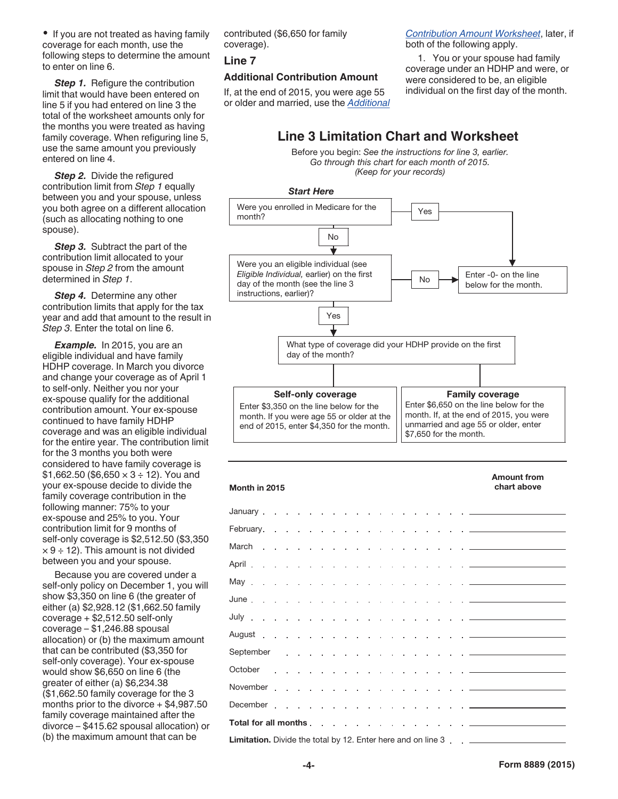<span id="page-3-0"></span>• If you are not treated as having family coverage for each month, use the following steps to determine the amount to enter on line 6.

**Step 1.** Refigure the contribution limit that would have been entered on line 5 if you had entered on line 3 the total of the worksheet amounts only for the months you were treated as having family coverage. When refiguring line 5, use the same amount you previously entered on line 4.

**Step 2.** Divide the refigured contribution limit from *Step 1* equally between you and your spouse, unless you both agree on a different allocation (such as allocating nothing to one spouse).

**Step 3.** Subtract the part of the contribution limit allocated to your spouse in *Step 2* from the amount determined in *Step 1*.

**Step 4.** Determine any other contribution limits that apply for the tax year and add that amount to the result in *Step 3*. Enter the total on line 6.

*Example.* In 2015, you are an eligible individual and have family HDHP coverage. In March you divorce and change your coverage as of April 1 to self-only. Neither you nor your ex-spouse qualify for the additional contribution amount. Your ex-spouse continued to have family HDHP coverage and was an eligible individual for the entire year. The contribution limit for the 3 months you both were considered to have family coverage is  $$1,662.50$  (\$6,650  $\times$  3 ÷ 12). You and your ex-spouse decide to divide the family coverage contribution in the following manner: 75% to your ex-spouse and 25% to you. Your contribution limit for 9 months of self-only coverage is \$2,512.50 (\$3,350  $\times$  9 ÷ 12). This amount is not divided between you and your spouse.

Because you are covered under a self-only policy on December 1, you will show \$3,350 on line 6 (the greater of either (a) \$2,928.12 (\$1,662.50 family coverage + \$2,512.50 self-only coverage – \$1,246.88 spousal allocation) or (b) the maximum amount that can be contributed (\$3,350 for self-only coverage). Your ex-spouse would show \$6,650 on line 6 (the greater of either (a) \$6,234.38 (\$1,662.50 family coverage for the 3 months prior to the divorce + \$4,987.50 family coverage maintained after the divorce – \$415.62 spousal allocation) or (b) the maximum amount that can be

contributed (\$6,650 for family coverage).

#### **Line 7**

#### **Additional Contribution Amount**

If, at the end of 2015, you were age 55 or older and married, use the *[Additional](#page-4-0)*  *[Contribution Amount Worksheet](#page-4-0)*, later, if both of the following apply.

1. You or your spouse had family coverage under an HDHP and were, or were considered to be, an eligible individual on the first day of the month.

# **Line 3 Limitation Chart and Worksheet**

Before you begin: *See the instructions for line 3, earlier. Go through this chart for each month of 2015. (Keep for your records)*



| Month in 2015                                                                       | <b>Amount from</b><br>chart above |
|-------------------------------------------------------------------------------------|-----------------------------------|
|                                                                                     |                                   |
|                                                                                     |                                   |
|                                                                                     |                                   |
|                                                                                     |                                   |
|                                                                                     |                                   |
|                                                                                     |                                   |
|                                                                                     |                                   |
|                                                                                     |                                   |
|                                                                                     |                                   |
|                                                                                     |                                   |
|                                                                                     |                                   |
|                                                                                     |                                   |
|                                                                                     |                                   |
| <b>Limitation.</b> Divide the total by 12. Enter here and on line 3 _______________ |                                   |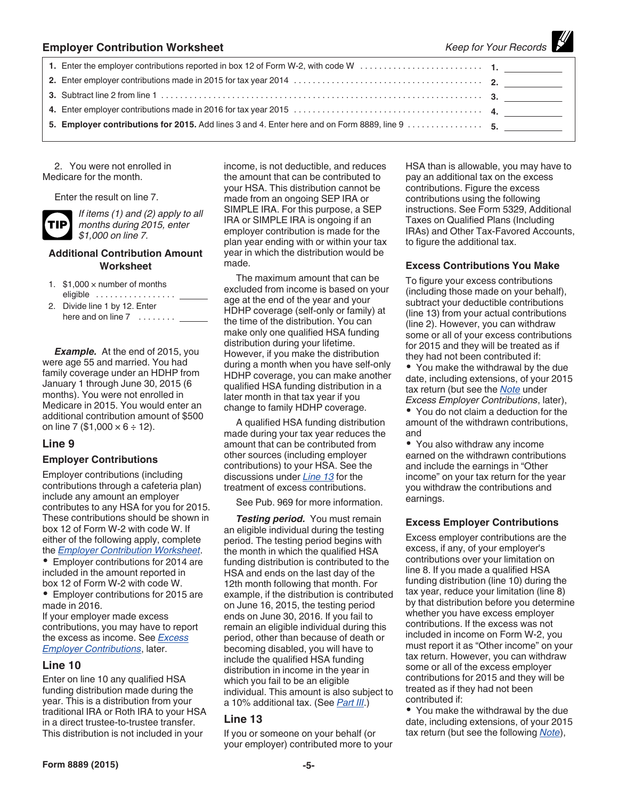<span id="page-4-0"></span>

| <b>Employer Contribution Worksheet</b>                                                        | Keep for Your Records |
|-----------------------------------------------------------------------------------------------|-----------------------|
|                                                                                               |                       |
|                                                                                               |                       |
|                                                                                               |                       |
|                                                                                               |                       |
| 5. Employer contributions for 2015. Add lines 3 and 4. Enter here and on Form 8889, line 9 5. |                       |

2. You were not enrolled in Medicare for the month.

Enter the result on line 7.

**TIP**

*If items (1) and (2) apply to all months during 2015, enter \$1,000 on line 7.*

#### **Additional Contribution Amount Worksheet**

- 1.  $$1,000 \times$  number of months eligible .................
- 2. Divide line 1 by 12. Enter here and on line 7 ........

*Example.* At the end of 2015, you were age 55 and married. You had family coverage under an HDHP from January 1 through June 30, 2015 (6 months). You were not enrolled in Medicare in 2015. You would enter an additional contribution amount of \$500 on line 7 (\$1,000  $\times$  6 ÷ 12).

#### **Line 9**

#### **Employer Contributions**

Employer contributions (including contributions through a cafeteria plan) include any amount an employer contributes to any HSA for you for 2015. These contributions should be shown in box 12 of Form W-2 with code W. If either of the following apply, complete the *Employer Contribution Worksheet*.

Employer contributions for 2014 are included in the amount reported in box 12 of Form W-2 with code W.

Employer contributions for 2015 are made in 2016.

If your employer made excess contributions, you may have to report the excess as income. See *Excess Employer Contributions*, later.

#### **Line 10**

Enter on line 10 any qualified HSA funding distribution made during the year. This is a distribution from your traditional IRA or Roth IRA to your HSA in a direct trustee-to-trustee transfer. This distribution is not included in your

income, is not deductible, and reduces the amount that can be contributed to your HSA. This distribution cannot be made from an ongoing SEP IRA or SIMPLE IRA. For this purpose, a SEP IRA or SIMPLE IRA is ongoing if an employer contribution is made for the plan year ending with or within your tax year in which the distribution would be made.

The maximum amount that can be excluded from income is based on your age at the end of the year and your HDHP coverage (self-only or family) at the time of the distribution. You can make only one qualified HSA funding distribution during your lifetime. However, if you make the distribution during a month when you have self-only HDHP coverage, you can make another qualified HSA funding distribution in a later month in that tax year if you change to family HDHP coverage.

A qualified HSA funding distribution made during your tax year reduces the amount that can be contributed from other sources (including employer contributions) to your HSA. See the discussions under *Line 13* for the treatment of excess contributions.

See Pub. 969 for more information.

*Testing period.* You must remain an eligible individual during the testing period. The testing period begins with the month in which the qualified HSA funding distribution is contributed to the HSA and ends on the last day of the 12th month following that month. For example, if the distribution is contributed on June 16, 2015, the testing period ends on June 30, 2016. If you fail to remain an eligible individual during this period, other than because of death or becoming disabled, you will have to include the qualified HSA funding distribution in income in the year in which you fail to be an eligible individual. This amount is also subject to a 10% additional tax. (See *[Part III](#page-5-0)*.)

#### **Line 13**

If you or someone on your behalf (or your employer) contributed more to your HSA than is allowable, you may have to pay an additional tax on the excess contributions. Figure the excess contributions using the following instructions. See Form 5329, Additional Taxes on Qualified Plans (Including IRAs) and Other Tax-Favored Accounts, to figure the additional tax.

a a shekara

#### **Excess Contributions You Make**

To figure your excess contributions (including those made on your behalf), subtract your deductible contributions (line 13) from your actual contributions (line 2). However, you can withdraw some or all of your excess contributions for 2015 and they will be treated as if they had not been contributed if:

• You make the withdrawal by the due date, including extensions, of your 2015 tax return (but see the *[Note](#page-5-0)* under *Excess Employer Contributions*, later),

• You do not claim a deduction for the amount of the withdrawn contributions, and

You also withdraw any income earned on the withdrawn contributions and include the earnings in "Other income" on your tax return for the year you withdraw the contributions and earnings.

#### **Excess Employer Contributions**

Excess employer contributions are the excess, if any, of your employer's contributions over your limitation on line 8. If you made a qualified HSA funding distribution (line 10) during the tax year, reduce your limitation (line 8) by that distribution before you determine whether you have excess employer contributions. If the excess was not included in income on Form W-2, you must report it as "Other income" on your tax return. However, you can withdraw some or all of the excess employer contributions for 2015 and they will be treated as if they had not been contributed if:

• You make the withdrawal by the due date, including extensions, of your 2015 tax return (but see the following *[Note](#page-5-0)*),